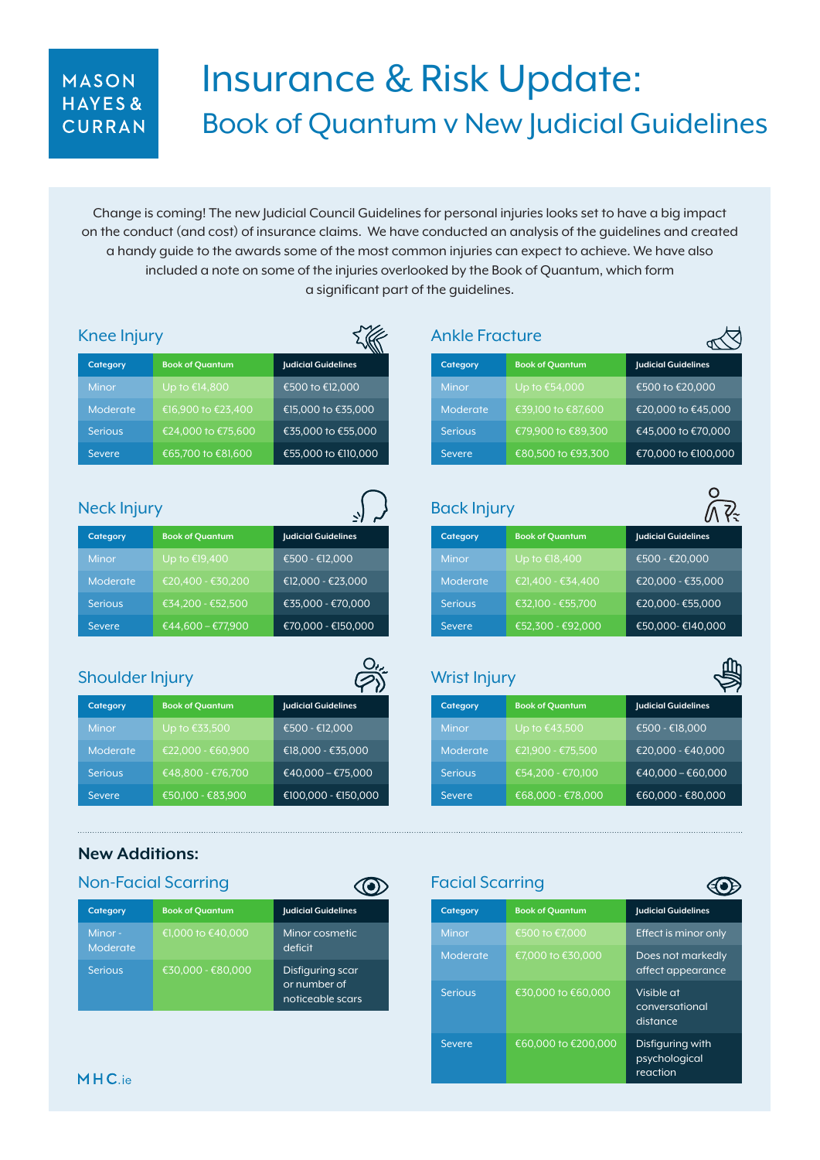### MASON HAYES& CURRAN

# Insurance & Risk Update: Book of Quantum v New Judicial Guidelines

Change is coming! The new Judicial Council Guidelines for personal injuries looks set to have a big impact on the conduct (and cost) of insurance claims. We have conducted an analysis of the guidelines and created a handy guide to the awards some of the most common injuries can expect to achieve. We have also included a note on some of the injuries overlooked by the Book of Quantum, which form a significant part of the guidelines.

| Knee Injury                                                                               |                                        |                                          | <b>Ankle Fracture</b>          |                                        |
|-------------------------------------------------------------------------------------------|----------------------------------------|------------------------------------------|--------------------------------|----------------------------------------|
| Category                                                                                  | <b>Book of Quantum</b>                 | <b>Judicial Guidelines</b>               | Category                       | <b>Book of Quantum</b>                 |
| Minor                                                                                     | Up to €14,800                          | €500 to €12,000                          | <b>Minor</b>                   | Up to €54,000                          |
| Moderate                                                                                  | €16,900 to €23,400                     | €15,000 to €35,000                       | Moderate                       | €39,100 to €87,600                     |
| <b>Serious</b>                                                                            | €24,000 to €75,600                     | €35,000 to €55,000                       | <b>Serious</b>                 | €79,900 to €89,300                     |
| <b>Severe</b>                                                                             | €65,700 to €81,600                     | €55,000 to €110,000                      | <b>Severe</b>                  | €80,500 to €93,300                     |
| Neck Injury<br>Category                                                                   | <b>Book of Quantum</b>                 | <b>Judicial Guidelines</b>               | <b>Back Injury</b><br>Category | <b>Book of Quantum</b>                 |
| Minor                                                                                     | Up to €19,400                          | €500 - €12,000                           | <b>Minor</b>                   | Up to €18,400                          |
| Moderate                                                                                  | €20,400 - €30,200                      | €12,000 - €23,000                        | Moderate                       | €21,400 - €34,400                      |
| <b>Serious</b>                                                                            | €34,200 - €52,500                      | €35,000 - €70,000                        | <b>Serious</b>                 | €32,100 - €55,700                      |
| <b>Severe</b>                                                                             | €44,600 - €77,900                      | €70,000 - €150,000                       | <b>Severe</b>                  | €52,300 - €92,000                      |
| <b>Shoulder Injury</b>                                                                    |                                        |                                          | <b>Wrist Injury</b>            |                                        |
|                                                                                           |                                        |                                          | Category                       | <b>Book of Quantum</b>                 |
|                                                                                           | <b>Book of Quantum</b>                 | <b>Judicial Guidelines</b>               |                                |                                        |
|                                                                                           | Up to €33,500                          | €500 - €12,000                           | Minor                          | Up to €43,500                          |
|                                                                                           | €22,000 - €60,900                      | €18,000 - €35,000                        | Moderate<br><b>Serious</b>     | €21,900 - €75,500                      |
|                                                                                           | €48,800 - €76,700<br>€50,100 - €83,900 | €40,000 - €75,000<br>€100,000 - €150,000 | <b>Severe</b>                  | €54,200 - €70,100<br>€68,000 - €78,000 |
|                                                                                           |                                        |                                          |                                |                                        |
| Category<br>Minor<br>Moderate<br><b>Serious</b><br><b>Severe</b><br><b>New Additions:</b> | <b>Non-Facial Scarring</b>             | $\bf O$                                  | <b>Facial Scarring</b>         |                                        |
| Category                                                                                  | <b>Book of Quantum</b>                 | <b>Judicial Guidelines</b>               | Category                       | <b>Book of Quantum</b>                 |
| Minor-<br>Moderate                                                                        | €1,000 to €40,000                      | Minor cosmetic<br>deficit                | Minor                          | €500 to €7,000                         |

Serious  $\begin{array}{|c|c|c|c|c|}\n\hline\n\text{50.000 to } \text{60.000} & \text{Visible at}\n\end{array}$ 

Severe €60,000 to €200,000 Disfiguring with

 conversational distance

 psychological reaction

or number of noticeable scars